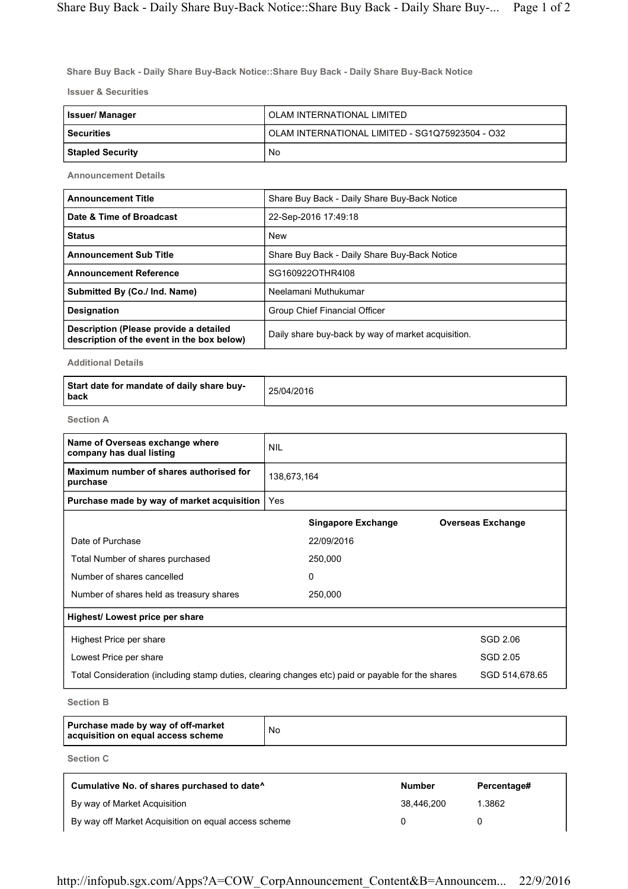Share Buy Back - Daily Share Buy-Back Notice::Share Buy Back - Daily Share Buy-Back Notice

Issuer & Securities

| Issuer/ Manager         | OLAM INTERNATIONAL LIMITED                      |  |
|-------------------------|-------------------------------------------------|--|
| <b>Securities</b>       | OLAM INTERNATIONAL LIMITED - SG1Q75923504 - O32 |  |
| <b>Stapled Security</b> | No                                              |  |

Announcement Details

| <b>Announcement Title</b>                                                            | Share Buy Back - Daily Share Buy-Back Notice       |
|--------------------------------------------------------------------------------------|----------------------------------------------------|
| Date & Time of Broadcast                                                             | 22-Sep-2016 17:49:18                               |
| <b>Status</b>                                                                        | <b>New</b>                                         |
| <b>Announcement Sub Title</b>                                                        | Share Buy Back - Daily Share Buy-Back Notice       |
| <b>Announcement Reference</b>                                                        | SG160922OTHR4I08                                   |
| Submitted By (Co./ Ind. Name)                                                        | Neelamani Muthukumar                               |
| <b>Designation</b>                                                                   | Group Chief Financial Officer                      |
| Description (Please provide a detailed<br>description of the event in the box below) | Daily share buy-back by way of market acquisition. |

Additional Details

| Start date for mandate of daily share buy-<br>l back | 25/04/2016 |
|------------------------------------------------------|------------|
|------------------------------------------------------|------------|

Section A

| Name of Overseas exchange where<br>company has dual listing                                       | <b>NIL</b>  |                           |                          |
|---------------------------------------------------------------------------------------------------|-------------|---------------------------|--------------------------|
| Maximum number of shares authorised for<br>purchase                                               | 138,673,164 |                           |                          |
| Purchase made by way of market acquisition                                                        | Yes         |                           |                          |
|                                                                                                   |             | <b>Singapore Exchange</b> | <b>Overseas Exchange</b> |
| Date of Purchase                                                                                  |             | 22/09/2016                |                          |
| Total Number of shares purchased                                                                  |             | 250,000                   |                          |
| Number of shares cancelled                                                                        |             | 0                         |                          |
| Number of shares held as treasury shares                                                          |             | 250,000                   |                          |
| Highest/ Lowest price per share                                                                   |             |                           |                          |
| Highest Price per share                                                                           |             |                           | SGD 2.06                 |
| Lowest Price per share                                                                            |             |                           | SGD 2.05                 |
| Total Consideration (including stamp duties, clearing changes etc) paid or payable for the shares |             |                           | SGD 514,678.65           |

Section B

| Purchase made by way of off-market<br>acquisition on equal access scheme | No |
|--------------------------------------------------------------------------|----|
|--------------------------------------------------------------------------|----|

Section C

| Cumulative No. of shares purchased to date <sup>^</sup> | <b>Number</b> | Percentage# |
|---------------------------------------------------------|---------------|-------------|
| By way of Market Acquisition                            | 38.446.200    | 1.3862      |
| By way off Market Acquisition on equal access scheme    |               |             |